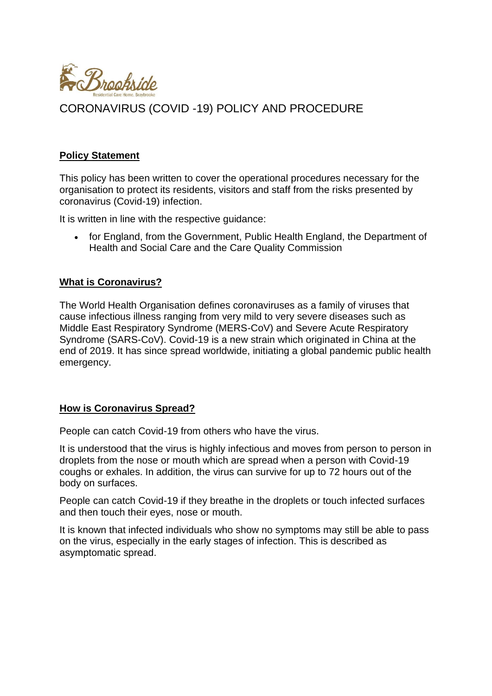

### **Policy Statement**

This policy has been written to cover the operational procedures necessary for the organisation to protect its residents, visitors and staff from the risks presented by coronavirus (Covid-19) infection.

It is written in line with the respective guidance:

• for England, from the Government, Public Health England, the Department of Health and Social Care and the Care Quality Commission

#### **What is Coronavirus?**

The World Health Organisation defines coronaviruses as a family of viruses that cause infectious illness ranging from very mild to very severe diseases such as Middle East Respiratory Syndrome (MERS-CoV) and Severe Acute Respiratory Syndrome (SARS-CoV). Covid-19 is a new strain which originated in China at the end of 2019. It has since spread worldwide, initiating a global pandemic public health emergency.

#### **How is Coronavirus Spread?**

People can catch Covid-19 from others who have the virus.

It is understood that the virus is highly infectious and moves from person to person in droplets from the nose or mouth which are spread when a person with Covid-19 coughs or exhales. In addition, the virus can survive for up to 72 hours out of the body on surfaces.

People can catch Covid-19 if they breathe in the droplets or touch infected surfaces and then touch their eyes, nose or mouth.

It is known that infected individuals who show no symptoms may still be able to pass on the virus, especially in the early stages of infection. This is described as asymptomatic spread.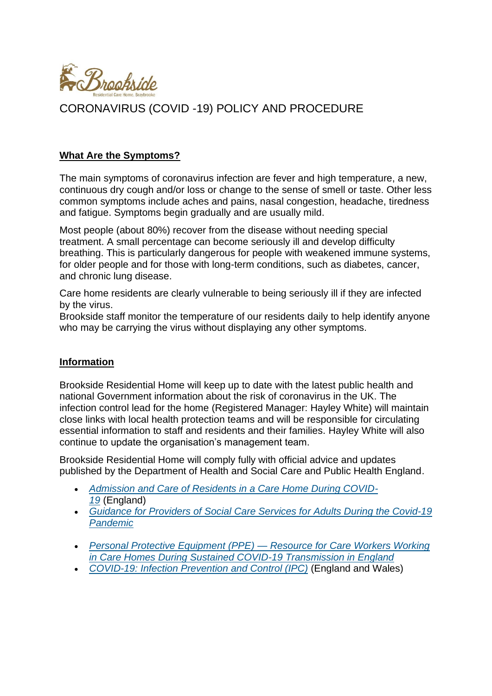

### **What Are the Symptoms?**

The main symptoms of coronavirus infection are fever and high temperature, a new, continuous dry cough and/or loss or change to the sense of smell or taste. Other less common symptoms include aches and pains, nasal congestion, headache, tiredness and fatigue. Symptoms begin gradually and are usually mild.

Most people (about 80%) recover from the disease without needing special treatment. A small percentage can become seriously ill and develop difficulty breathing. This is particularly dangerous for people with weakened immune systems, for older people and for those with long-term conditions, such as diabetes, cancer, and chronic lung disease.

Care home residents are clearly vulnerable to being seriously ill if they are infected by the virus.

Brookside staff monitor the temperature of our residents daily to help identify anyone who may be carrying the virus without displaying any other symptoms.

#### **Information**

Brookside Residential Home will keep up to date with the latest public health and national Government information about the risk of coronavirus in the UK. The infection control lead for the home (Registered Manager: Hayley White) will maintain close links with local health protection teams and will be responsible for circulating essential information to staff and residents and their families. Hayley White will also continue to update the organisation's management team.

Brookside Residential Home will comply fully with official advice and updates published by the Department of Health and Social Care and Public Health England.

- *[Admission and Care of Residents in a Care Home During COVID-](https://www.gov.uk/government/publications/coronavirus-covid-19-admission-and-care-of-people-in-care-homes/coronavirus-covid-19-admission-and-care-of-people-in-care-homes)[19](https://www.gov.uk/government/publications/coronavirus-covid-19-admission-and-care-of-people-in-care-homes/coronavirus-covid-19-admission-and-care-of-people-in-care-homes)* (England)
- *[Guidance for Providers of Social Care Services for Adults During the Covid-19](https://gov.wales/guidance-providers-social-care-services-adults-during-covid-19-pandemic-0)  [Pandemic](https://gov.wales/guidance-providers-social-care-services-adults-during-covid-19-pandemic-0)*
- *[Personal Protective Equipment \(PPE\) —](https://assets.publishing.service.gov.uk/government/uploads/system/uploads/attachment_data/file/902355/How_to_work_safely_in_care_homes_v5_20_July.pdf) Resource for Care Workers Working [in Care Homes During Sustained COVID-19 Transmission in England](https://assets.publishing.service.gov.uk/government/uploads/system/uploads/attachment_data/file/902355/How_to_work_safely_in_care_homes_v5_20_July.pdf)*
- *[COVID-19: Infection Prevention and Control \(IPC\)](https://www.gov.uk/government/publications/wuhan-novel-coronavirus-infection-prevention-and-control/covid-19-personal-protective-equipment-ppe)* (England and Wales)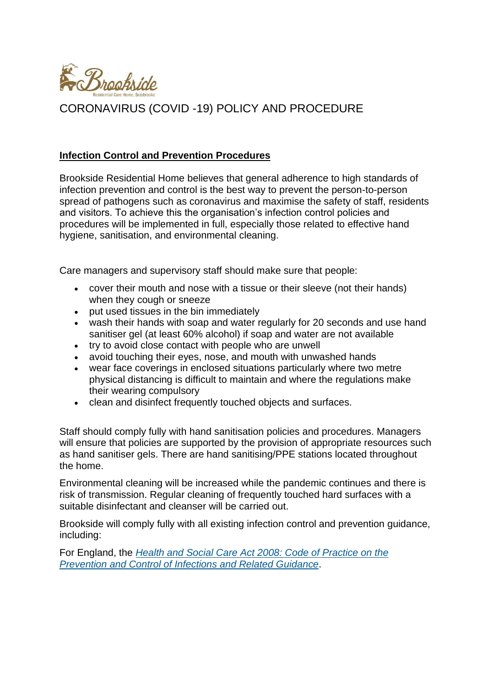

### **Infection Control and Prevention Procedures**

Brookside Residential Home believes that general adherence to high standards of infection prevention and control is the best way to prevent the person-to-person spread of pathogens such as coronavirus and maximise the safety of staff, residents and visitors. To achieve this the organisation's infection control policies and procedures will be implemented in full, especially those related to effective hand hygiene, sanitisation, and environmental cleaning.

Care managers and supervisory staff should make sure that people:

- cover their mouth and nose with a tissue or their sleeve (not their hands) when they cough or sneeze
- put used tissues in the bin immediately
- wash their hands with soap and water regularly for 20 seconds and use hand sanitiser gel (at least 60% alcohol) if soap and water are not available
- try to avoid close contact with people who are unwell
- avoid touching their eyes, nose, and mouth with unwashed hands
- wear face coverings in enclosed situations particularly where two metre physical distancing is difficult to maintain and where the regulations make their wearing compulsory
- clean and disinfect frequently touched objects and surfaces.

Staff should comply fully with hand sanitisation policies and procedures. Managers will ensure that policies are supported by the provision of appropriate resources such as hand sanitiser gels. There are hand sanitising/PPE stations located throughout the home.

Environmental cleaning will be increased while the pandemic continues and there is risk of transmission. Regular cleaning of frequently touched hard surfaces with a suitable disinfectant and cleanser will be carried out.

Brookside will comply fully with all existing infection control and prevention guidance, including:

For England, the *[Health and Social Care Act 2008: Code of Practice on the](https://assets.publishing.service.gov.uk/government/uploads/system/uploads/attachment_data/file/449049/Code_of_practice_280715_acc.pdf)  [Prevention and Control of Infections and Related Guidance](https://assets.publishing.service.gov.uk/government/uploads/system/uploads/attachment_data/file/449049/Code_of_practice_280715_acc.pdf)*.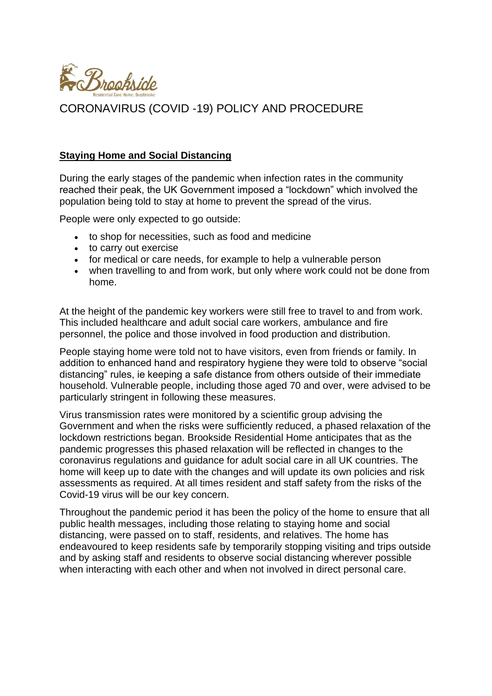

#### **Staying Home and Social Distancing**

During the early stages of the pandemic when infection rates in the community reached their peak, the UK Government imposed a "lockdown" which involved the population being told to stay at home to prevent the spread of the virus.

People were only expected to go outside:

- to shop for necessities, such as food and medicine
- to carry out exercise
- for medical or care needs, for example to help a vulnerable person
- when travelling to and from work, but only where work could not be done from home.

At the height of the pandemic key workers were still free to travel to and from work. This included healthcare and adult social care workers, ambulance and fire personnel, the police and those involved in food production and distribution.

People staying home were told not to have visitors, even from friends or family. In addition to enhanced hand and respiratory hygiene they were told to observe "social distancing" rules, ie keeping a safe distance from others outside of their immediate household. Vulnerable people, including those aged 70 and over, were advised to be particularly stringent in following these measures.

Virus transmission rates were monitored by a scientific group advising the Government and when the risks were sufficiently reduced, a phased relaxation of the lockdown restrictions began. Brookside Residential Home anticipates that as the pandemic progresses this phased relaxation will be reflected in changes to the coronavirus regulations and guidance for adult social care in all UK countries. The home will keep up to date with the changes and will update its own policies and risk assessments as required. At all times resident and staff safety from the risks of the Covid-19 virus will be our key concern.

Throughout the pandemic period it has been the policy of the home to ensure that all public health messages, including those relating to staying home and social distancing, were passed on to staff, residents, and relatives. The home has endeavoured to keep residents safe by temporarily stopping visiting and trips outside and by asking staff and residents to observe social distancing wherever possible when interacting with each other and when not involved in direct personal care.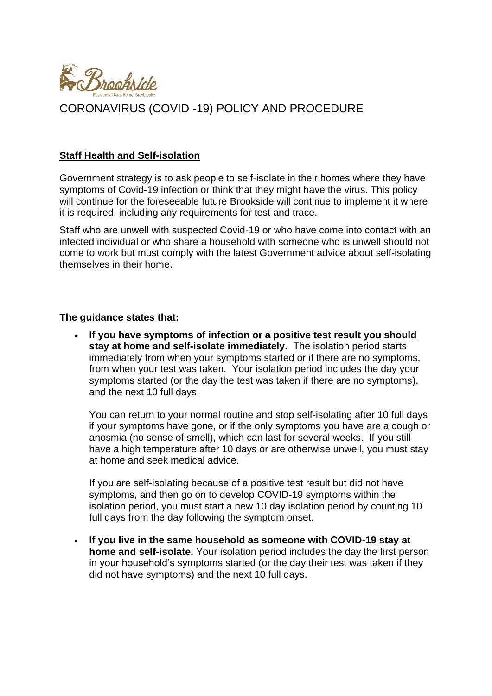

#### **Staff Health and Self-isolation**

Government strategy is to ask people to self-isolate in their homes where they have symptoms of Covid-19 infection or think that they might have the virus. This policy will continue for the foreseeable future Brookside will continue to implement it where it is required, including any requirements for test and trace.

Staff who are unwell with suspected Covid-19 or who have come into contact with an infected individual or who share a household with someone who is unwell should not come to work but must comply with the latest Government advice about self-isolating themselves in their home.

#### **The guidance states that:**

• **If you have symptoms of infection or a positive test result you should stay at home and self-isolate immediately.** The isolation period starts immediately from when your symptoms started or if there are no symptoms, from when your test was taken. Your isolation period includes the day your symptoms started (or the day the test was taken if there are no symptoms), and the next 10 full days.

You can return to your normal routine and stop self-isolating after 10 full days if your symptoms have gone, or if the only symptoms you have are a cough or anosmia (no sense of smell), which can last for several weeks. If you still have a high temperature after 10 days or are otherwise unwell, you must stay at home and seek medical advice.

If you are self-isolating because of a positive test result but did not have symptoms, and then go on to develop COVID-19 symptoms within the isolation period, you must start a new 10 day isolation period by counting 10 full days from the day following the symptom onset.

• **If you live in the same household as someone with COVID-19 stay at home and self-isolate.** Your isolation period includes the day the first person in your household's symptoms started (or the day their test was taken if they did not have symptoms) and the next 10 full days.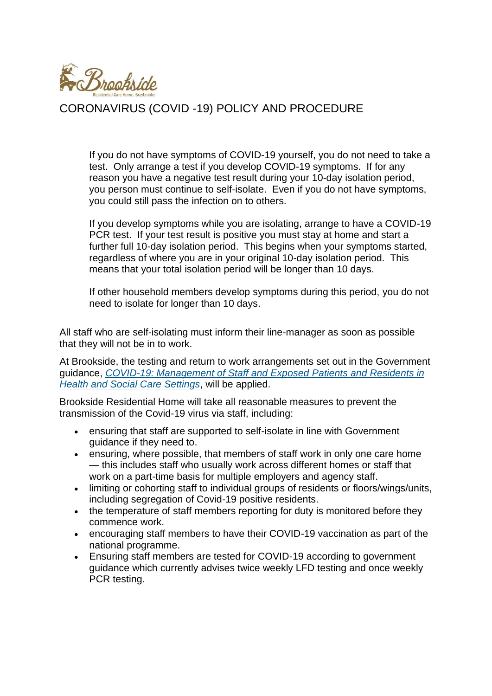

If you do not have symptoms of COVID-19 yourself, you do not need to take a test. Only arrange a test if you develop COVID-19 symptoms. If for any reason you have a negative test result during your 10-day isolation period, you person must continue to self-isolate. Even if you do not have symptoms, you could still pass the infection on to others.

If you develop symptoms while you are isolating, arrange to have a COVID-19 PCR test. If your test result is positive you must stay at home and start a further full 10-day isolation period. This begins when your symptoms started, regardless of where you are in your original 10-day isolation period. This means that your total isolation period will be longer than 10 days.

If other household members develop symptoms during this period, you do not need to isolate for longer than 10 days.

All staff who are self-isolating must inform their line-manager as soon as possible that they will not be in to work.

At Brookside, the testing and return to work arrangements set out in the Government guidance, *[COVID-19: Management of Staff and Exposed Patients and Residents in](https://www.gov.uk/government/publications/covid-19-management-of-exposed-healthcare-workers-and-patients-in-hospital-settings)  [Health and Social Care Settings](https://www.gov.uk/government/publications/covid-19-management-of-exposed-healthcare-workers-and-patients-in-hospital-settings)*, will be applied.

Brookside Residential Home will take all reasonable measures to prevent the transmission of the Covid-19 virus via staff, including:

- ensuring that staff are supported to self-isolate in line with Government guidance if they need to.
- ensuring, where possible, that members of staff work in only one care home — this includes staff who usually work across different homes or staff that work on a part-time basis for multiple employers and agency staff.
- limiting or cohorting staff to individual groups of residents or floors/wings/units, including segregation of Covid-19 positive residents.
- the temperature of staff members reporting for duty is monitored before they commence work.
- encouraging staff members to have their COVID-19 vaccination as part of the national programme.
- Ensuring staff members are tested for COVID-19 according to government guidance which currently advises twice weekly LFD testing and once weekly PCR testing.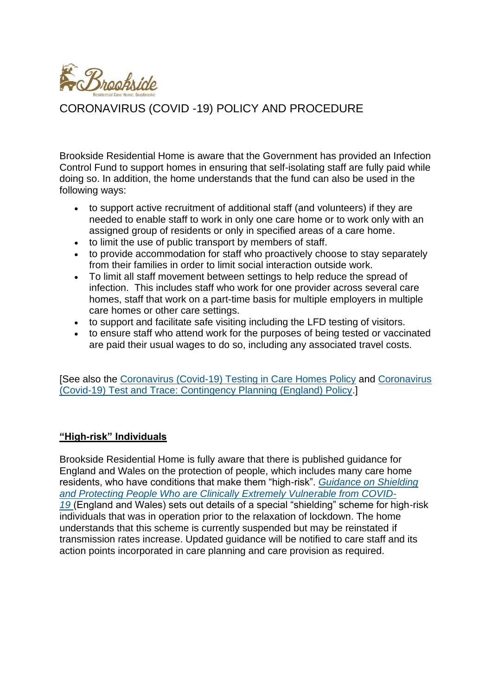

Brookside Residential Home is aware that the Government has provided an Infection Control Fund to support homes in ensuring that self-isolating staff are fully paid while doing so. In addition, the home understands that the fund can also be used in the following ways:

- to support active recruitment of additional staff (and volunteers) if they are needed to enable staff to work in only one care home or to work only with an assigned group of residents or only in specified areas of a care home.
- to limit the use of public transport by members of staff.
- to provide accommodation for staff who proactively choose to stay separately from their families in order to limit social interaction outside work.
- To limit all staff movement between settings to help reduce the spread of infection. This includes staff who work for one provider across several care homes, staff that work on a part-time basis for multiple employers in multiple care homes or other care settings.
- to support and facilitate safe visiting including the LFD testing of visitors.
- to ensure staff who attend work for the purposes of being tested or vaccinated are paid their usual wages to do so, including any associated travel costs.

[See also the [Coronavirus \(Covid-19\) Testing in Care Homes Policy](https://app.croneri.co.uk/topics/consent-care-and-treatment-emergency-planning-care/coronavirus-covid-19-testing-care-homes#WKID-202006090759400858-32856210) and [Coronavirus](https://app.croneri.co.uk/topics/emergency-planning-care/coronavirus-covid-19-test-and-trace-contingency-planning-england#WKID-202006220823030348-74772185)  [\(Covid-19\) Test and Trace: Contingency Planning \(England\) Policy.](https://app.croneri.co.uk/topics/emergency-planning-care/coronavirus-covid-19-test-and-trace-contingency-planning-england#WKID-202006220823030348-74772185)]

## **"High-risk" Individuals**

Brookside Residential Home is fully aware that there is published guidance for England and Wales on the protection of people, which includes many care home residents, who have conditions that make them "high-risk". *[Guidance on Shielding](https://www.gov.uk/government/publications/guidance-on-shielding-and-protecting-extremely-vulnerable-persons-from-covid-19/guidance-on-shielding-and-protecting-extremely-vulnerable-persons-from-covid-19)  [and Protecting People Who are Clinically Extremely Vulnerable from COVID-](https://www.gov.uk/government/publications/guidance-on-shielding-and-protecting-extremely-vulnerable-persons-from-covid-19/guidance-on-shielding-and-protecting-extremely-vulnerable-persons-from-covid-19)[19](https://www.gov.uk/government/publications/guidance-on-shielding-and-protecting-extremely-vulnerable-persons-from-covid-19/guidance-on-shielding-and-protecting-extremely-vulnerable-persons-from-covid-19)* (England and Wales) sets out details of a special "shielding" scheme for high-risk individuals that was in operation prior to the relaxation of lockdown. The home understands that this scheme is currently suspended but may be reinstated if transmission rates increase. Updated guidance will be notified to care staff and its action points incorporated in care planning and care provision as required.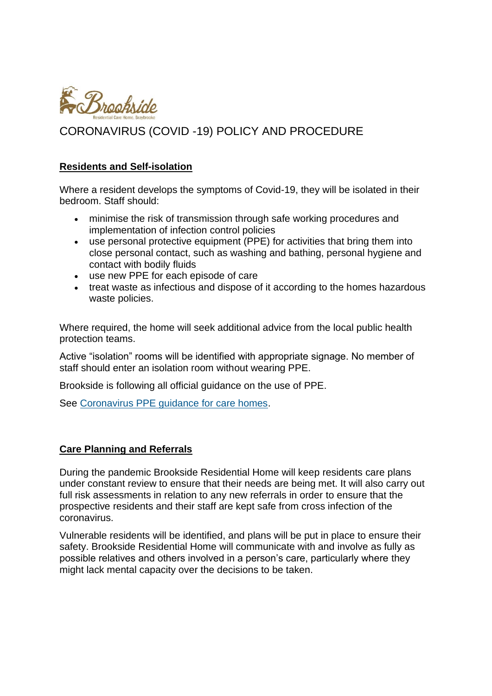

#### **Residents and Self-isolation**

Where a resident develops the symptoms of Covid-19, they will be isolated in their bedroom. Staff should:

- minimise the risk of transmission through safe working procedures and implementation of infection control policies
- use personal protective equipment (PPE) for activities that bring them into close personal contact, such as washing and bathing, personal hygiene and contact with bodily fluids
- use new PPE for each episode of care
- treat waste as infectious and dispose of it according to the homes hazardous waste policies.

Where required, the home will seek additional advice from the local public health protection teams.

Active "isolation" rooms will be identified with appropriate signage. No member of staff should enter an isolation room without wearing PPE.

Brookside is following all official guidance on the use of PPE.

See [Coronavirus PPE guidance for care homes.](https://app.croneri.co.uk/topics/personal-protective-equipment/indepth#WKID-202004240842070387-11485275)

#### **Care Planning and Referrals**

During the pandemic Brookside Residential Home will keep residents care plans under constant review to ensure that their needs are being met. It will also carry out full risk assessments in relation to any new referrals in order to ensure that the prospective residents and their staff are kept safe from cross infection of the coronavirus.

Vulnerable residents will be identified, and plans will be put in place to ensure their safety. Brookside Residential Home will communicate with and involve as fully as possible relatives and others involved in a person's care, particularly where they might lack mental capacity over the decisions to be taken.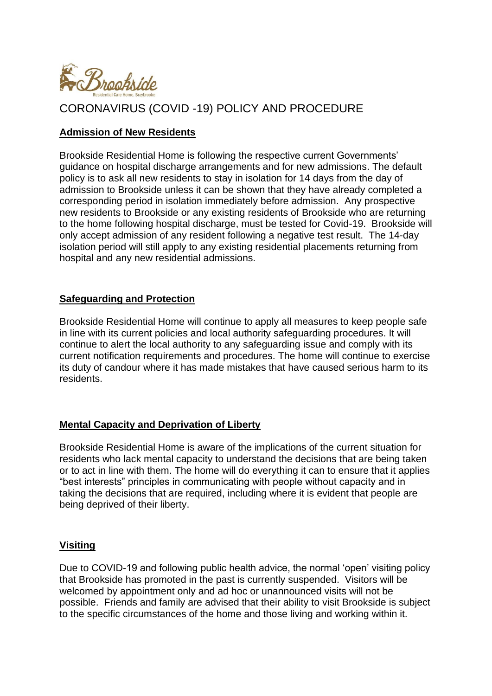

### **Admission of New Residents**

Brookside Residential Home is following the respective current Governments' guidance on hospital discharge arrangements and for new admissions. The default policy is to ask all new residents to stay in isolation for 14 days from the day of admission to Brookside unless it can be shown that they have already completed a corresponding period in isolation immediately before admission. Any prospective new residents to Brookside or any existing residents of Brookside who are returning to the home following hospital discharge, must be tested for Covid-19. Brookside will only accept admission of any resident following a negative test result. The 14-day isolation period will still apply to any existing residential placements returning from hospital and any new residential admissions.

### **Safeguarding and Protection**

Brookside Residential Home will continue to apply all measures to keep people safe in line with its current policies and local authority safeguarding procedures. It will continue to alert the local authority to any safeguarding issue and comply with its current notification requirements and procedures. The home will continue to exercise its duty of candour where it has made mistakes that have caused serious harm to its residents.

## **Mental Capacity and Deprivation of Liberty**

Brookside Residential Home is aware of the implications of the current situation for residents who lack mental capacity to understand the decisions that are being taken or to act in line with them. The home will do everything it can to ensure that it applies "best interests" principles in communicating with people without capacity and in taking the decisions that are required, including where it is evident that people are being deprived of their liberty.

#### **Visiting**

Due to COVID-19 and following public health advice, the normal 'open' visiting policy that Brookside has promoted in the past is currently suspended. Visitors will be welcomed by appointment only and ad hoc or unannounced visits will not be possible. Friends and family are advised that their ability to visit Brookside is subject to the specific circumstances of the home and those living and working within it.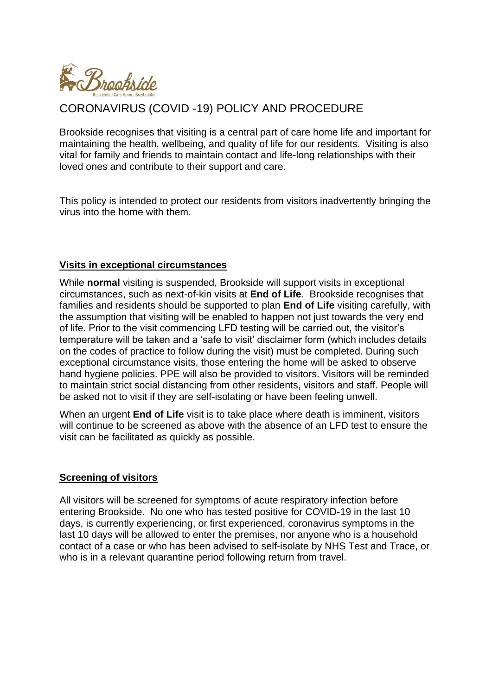

Brookside recognises that visiting is a central part of care home life and important for maintaining the health, wellbeing, and quality of life for our residents. Visiting is also vital for family and friends to maintain contact and life-long relationships with their loved ones and contribute to their support and care.

This policy is intended to protect our residents from visitors inadvertently bringing the virus into the home with them.

### **Visits in exceptional circumstances**

While **normal** visiting is suspended, Brookside will support visits in exceptional circumstances, such as next-of-kin visits at **End of Life**. Brookside recognises that families and residents should be supported to plan **End of Life** visiting carefully, with the assumption that visiting will be enabled to happen not just towards the very end of life. Prior to the visit commencing LFD testing will be carried out, the visitor's temperature will be taken and a 'safe to visit' disclaimer form (which includes details on the codes of practice to follow during the visit) must be completed. During such exceptional circumstance visits, those entering the home will be asked to observe hand hygiene policies. PPE will also be provided to visitors. Visitors will be reminded to maintain strict social distancing from other residents, visitors and staff. People will be asked not to visit if they are self-isolating or have been feeling unwell.

When an urgent **End of Life** visit is to take place where death is imminent, visitors will continue to be screened as above with the absence of an LFD test to ensure the visit can be facilitated as quickly as possible.

## **Screening of visitors**

All visitors will be screened for symptoms of acute respiratory infection before entering Brookside. No one who has tested positive for COVID-19 in the last 10 days, is currently experiencing, or first experienced, coronavirus symptoms in the last 10 days will be allowed to enter the premises, nor anyone who is a household contact of a case or who has been advised to self-isolate by NHS Test and Trace, or who is in a relevant quarantine period following return from travel.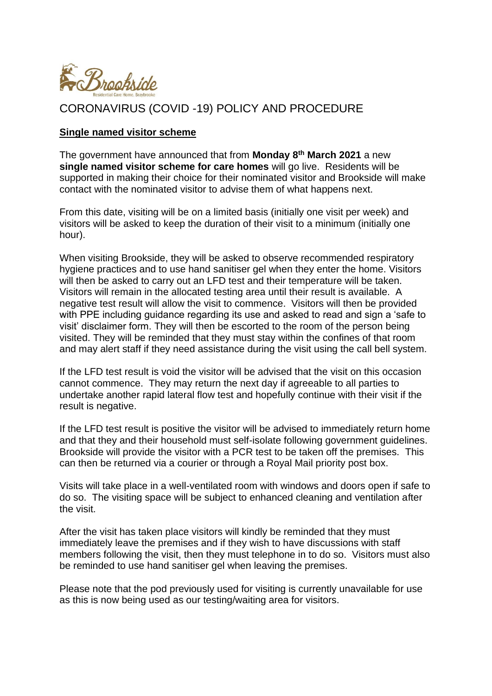

#### **Single named visitor scheme**

The government have announced that from **Monday 8th March 2021** a new **single named visitor scheme for care homes** will go live. Residents will be supported in making their choice for their nominated visitor and Brookside will make contact with the nominated visitor to advise them of what happens next.

From this date, visiting will be on a limited basis (initially one visit per week) and visitors will be asked to keep the duration of their visit to a minimum (initially one hour).

When visiting Brookside, they will be asked to observe recommended respiratory hygiene practices and to use hand sanitiser gel when they enter the home. Visitors will then be asked to carry out an LFD test and their temperature will be taken. Visitors will remain in the allocated testing area until their result is available. A negative test result will allow the visit to commence. Visitors will then be provided with PPE including guidance regarding its use and asked to read and sign a 'safe to visit' disclaimer form. They will then be escorted to the room of the person being visited. They will be reminded that they must stay within the confines of that room and may alert staff if they need assistance during the visit using the call bell system.

If the LFD test result is void the visitor will be advised that the visit on this occasion cannot commence. They may return the next day if agreeable to all parties to undertake another rapid lateral flow test and hopefully continue with their visit if the result is negative.

If the LFD test result is positive the visitor will be advised to immediately return home and that they and their household must self-isolate following government guidelines. Brookside will provide the visitor with a PCR test to be taken off the premises. This can then be returned via a courier or through a Royal Mail priority post box.

Visits will take place in a well-ventilated room with windows and doors open if safe to do so. The visiting space will be subject to enhanced cleaning and ventilation after the visit.

After the visit has taken place visitors will kindly be reminded that they must immediately leave the premises and if they wish to have discussions with staff members following the visit, then they must telephone in to do so. Visitors must also be reminded to use hand sanitiser gel when leaving the premises.

Please note that the pod previously used for visiting is currently unavailable for use as this is now being used as our testing/waiting area for visitors.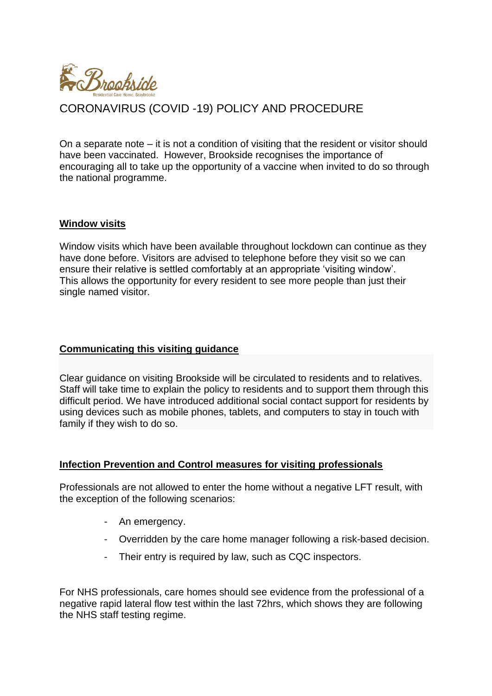

On a separate note – it is not a condition of visiting that the resident or visitor should have been vaccinated. However, Brookside recognises the importance of encouraging all to take up the opportunity of a vaccine when invited to do so through the national programme.

#### **Window visits**

Window visits which have been available throughout lockdown can continue as they have done before. Visitors are advised to telephone before they visit so we can ensure their relative is settled comfortably at an appropriate 'visiting window'. This allows the opportunity for every resident to see more people than just their single named visitor.

#### **Communicating this visiting guidance**

Clear guidance on visiting Brookside will be circulated to residents and to relatives. Staff will take time to explain the policy to residents and to support them through this difficult period. We have introduced additional social contact support for residents by using devices such as mobile phones, tablets, and computers to stay in touch with family if they wish to do so.

#### **Infection Prevention and Control measures for visiting professionals**

Professionals are not allowed to enter the home without a negative LFT result, with the exception of the following scenarios:

- An emergency.
- Overridden by the care home manager following a risk-based decision.
- Their entry is required by law, such as CQC inspectors.

For NHS professionals, care homes should see evidence from the professional of a negative rapid lateral flow test within the last 72hrs, which shows they are following the NHS staff testing regime.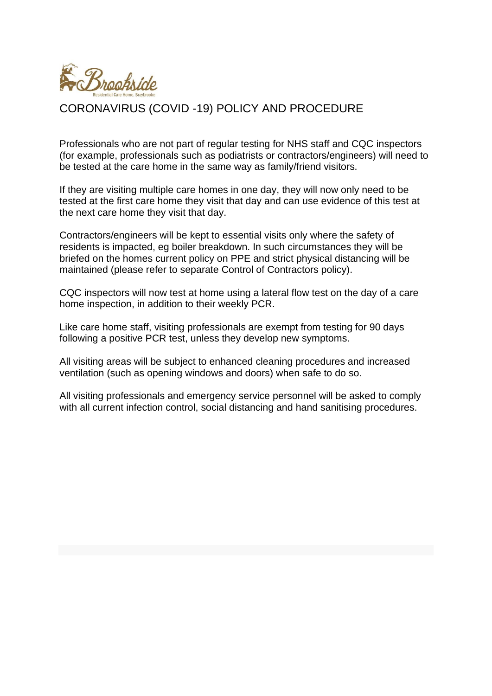

Professionals who are not part of regular testing for NHS staff and CQC inspectors (for example, professionals such as podiatrists or contractors/engineers) will need to be tested at the care home in the same way as family/friend visitors.

If they are visiting multiple care homes in one day, they will now only need to be tested at the first care home they visit that day and can use evidence of this test at the next care home they visit that day.

Contractors/engineers will be kept to essential visits only where the safety of residents is impacted, eg boiler breakdown. In such circumstances they will be briefed on the homes current policy on PPE and strict physical distancing will be maintained (please refer to separate Control of Contractors policy).

CQC inspectors will now test at home using a lateral flow test on the day of a care home inspection, in addition to their weekly PCR.

Like care home staff, visiting professionals are exempt from testing for 90 days following a positive PCR test, unless they develop new symptoms.

All visiting areas will be subject to enhanced cleaning procedures and increased ventilation (such as opening windows and doors) when safe to do so.

All visiting professionals and emergency service personnel will be asked to comply with all current infection control, social distancing and hand sanitising procedures.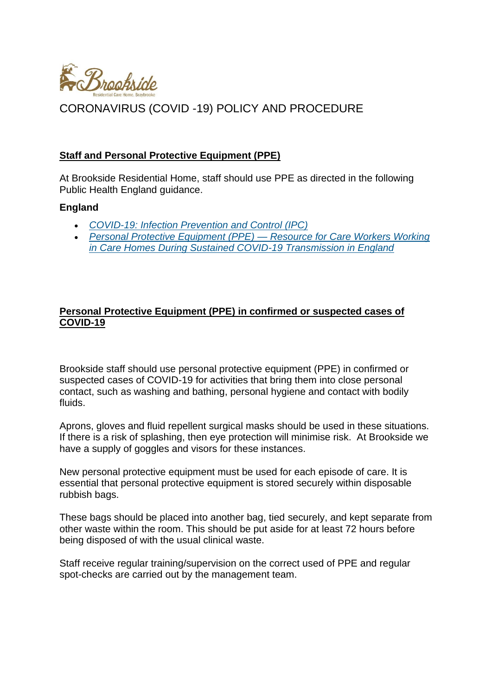

### **Staff and Personal Protective Equipment (PPE)**

At Brookside Residential Home, staff should use PPE as directed in the following Public Health England guidance.

#### **England**

- *[COVID-19: Infection Prevention and Control \(IPC\)](https://www.gov.uk/government/publications/wuhan-novel-coronavirus-infection-prevention-and-control/covid-19-personal-protective-equipment-ppe)*
- *[Personal Protective Equipment \(PPE\) —](https://assets.publishing.service.gov.uk/government/uploads/system/uploads/attachment_data/file/902355/How_to_work_safely_in_care_homes_v5_20_July.pdf) Resource for Care Workers Working [in Care Homes During Sustained COVID-19 Transmission in England](https://assets.publishing.service.gov.uk/government/uploads/system/uploads/attachment_data/file/902355/How_to_work_safely_in_care_homes_v5_20_July.pdf)*

### **Personal Protective Equipment (PPE) in confirmed or suspected cases of COVID-19**

Brookside staff should use personal protective equipment (PPE) in confirmed or suspected cases of COVID-19 for activities that bring them into close personal contact, such as washing and bathing, personal hygiene and contact with bodily fluids.

Aprons, gloves and fluid repellent surgical masks should be used in these situations. If there is a risk of splashing, then eye protection will minimise risk. At Brookside we have a supply of goggles and visors for these instances.

New personal protective equipment must be used for each episode of care. It is essential that personal protective equipment is stored securely within disposable rubbish bags.

These bags should be placed into another bag, tied securely, and kept separate from other waste within the room. This should be put aside for at least 72 hours before being disposed of with the usual clinical waste.

Staff receive regular training/supervision on the correct used of PPE and regular spot-checks are carried out by the management team.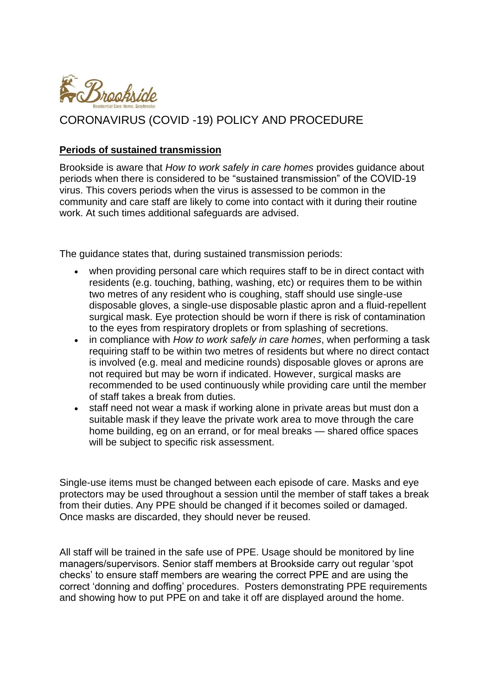

#### **Periods of sustained transmission**

Brookside is aware that *How to work safely in care homes* provides guidance about periods when there is considered to be "sustained transmission" of the COVID-19 virus. This covers periods when the virus is assessed to be common in the community and care staff are likely to come into contact with it during their routine work. At such times additional safeguards are advised.

The guidance states that, during sustained transmission periods:

- when providing personal care which requires staff to be in direct contact with residents (e.g. touching, bathing, washing, etc) or requires them to be within two metres of any resident who is coughing, staff should use single-use disposable gloves, a single-use disposable plastic apron and a fluid-repellent surgical mask. Eye protection should be worn if there is risk of contamination to the eyes from respiratory droplets or from splashing of secretions.
- in compliance with *How to work safely in care homes*, when performing a task requiring staff to be within two metres of residents but where no direct contact is involved (e.g. meal and medicine rounds) disposable gloves or aprons are not required but may be worn if indicated. However, surgical masks are recommended to be used continuously while providing care until the member of staff takes a break from duties.
- staff need not wear a mask if working alone in private areas but must don a suitable mask if they leave the private work area to move through the care home building, eg on an errand, or for meal breaks — shared office spaces will be subject to specific risk assessment.

Single-use items must be changed between each episode of care. Masks and eye protectors may be used throughout a session until the member of staff takes a break from their duties. Any PPE should be changed if it becomes soiled or damaged. Once masks are discarded, they should never be reused.

All staff will be trained in the safe use of PPE. Usage should be monitored by line managers/supervisors. Senior staff members at Brookside carry out regular 'spot checks' to ensure staff members are wearing the correct PPE and are using the correct 'donning and doffing' procedures. Posters demonstrating PPE requirements and showing how to put PPE on and take it off are displayed around the home.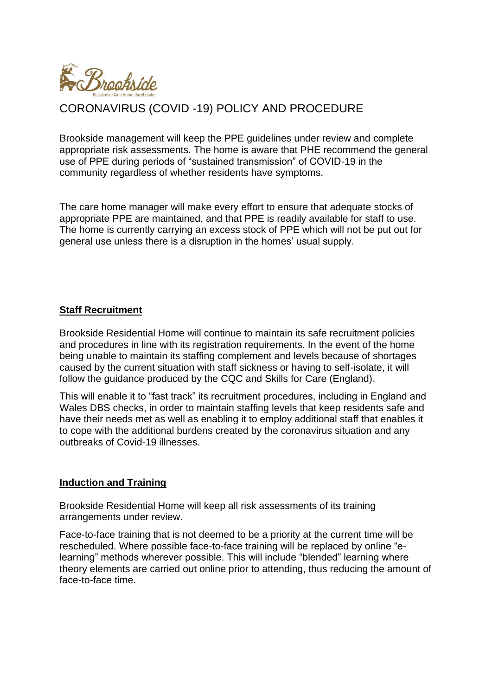

Brookside management will keep the PPE guidelines under review and complete appropriate risk assessments. The home is aware that PHE recommend the general use of PPE during periods of "sustained transmission" of COVID-19 in the community regardless of whether residents have symptoms.

The care home manager will make every effort to ensure that adequate stocks of appropriate PPE are maintained, and that PPE is readily available for staff to use. The home is currently carrying an excess stock of PPE which will not be put out for general use unless there is a disruption in the homes' usual supply.

### **Staff Recruitment**

Brookside Residential Home will continue to maintain its safe recruitment policies and procedures in line with its registration requirements. In the event of the home being unable to maintain its staffing complement and levels because of shortages caused by the current situation with staff sickness or having to self-isolate, it will follow the guidance produced by the CQC and Skills for Care (England).

This will enable it to "fast track" its recruitment procedures, including in England and Wales DBS checks, in order to maintain staffing levels that keep residents safe and have their needs met as well as enabling it to employ additional staff that enables it to cope with the additional burdens created by the coronavirus situation and any outbreaks of Covid-19 illnesses.

#### **Induction and Training**

Brookside Residential Home will keep all risk assessments of its training arrangements under review.

Face-to-face training that is not deemed to be a priority at the current time will be rescheduled. Where possible face-to-face training will be replaced by online "elearning" methods wherever possible. This will include "blended" learning where theory elements are carried out online prior to attending, thus reducing the amount of face-to-face time.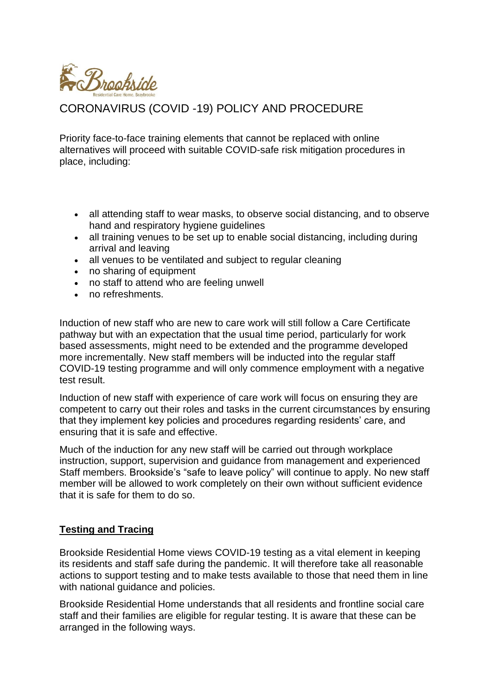

Priority face-to-face training elements that cannot be replaced with online alternatives will proceed with suitable COVID-safe risk mitigation procedures in place, including:

- all attending staff to wear masks, to observe social distancing, and to observe hand and respiratory hygiene guidelines
- all training venues to be set up to enable social distancing, including during arrival and leaving
- all venues to be ventilated and subject to regular cleaning
- no sharing of equipment
- no staff to attend who are feeling unwell
- no refreshments.

Induction of new staff who are new to care work will still follow a Care Certificate pathway but with an expectation that the usual time period, particularly for work based assessments, might need to be extended and the programme developed more incrementally. New staff members will be inducted into the regular staff COVID-19 testing programme and will only commence employment with a negative test result.

Induction of new staff with experience of care work will focus on ensuring they are competent to carry out their roles and tasks in the current circumstances by ensuring that they implement key policies and procedures regarding residents' care, and ensuring that it is safe and effective.

Much of the induction for any new staff will be carried out through workplace instruction, support, supervision and guidance from management and experienced Staff members. Brookside's "safe to leave policy" will continue to apply. No new staff member will be allowed to work completely on their own without sufficient evidence that it is safe for them to do so.

#### **Testing and Tracing**

Brookside Residential Home views COVID-19 testing as a vital element in keeping its residents and staff safe during the pandemic. It will therefore take all reasonable actions to support testing and to make tests available to those that need them in line with national guidance and policies.

Brookside Residential Home understands that all residents and frontline social care staff and their families are eligible for regular testing. It is aware that these can be arranged in the following ways.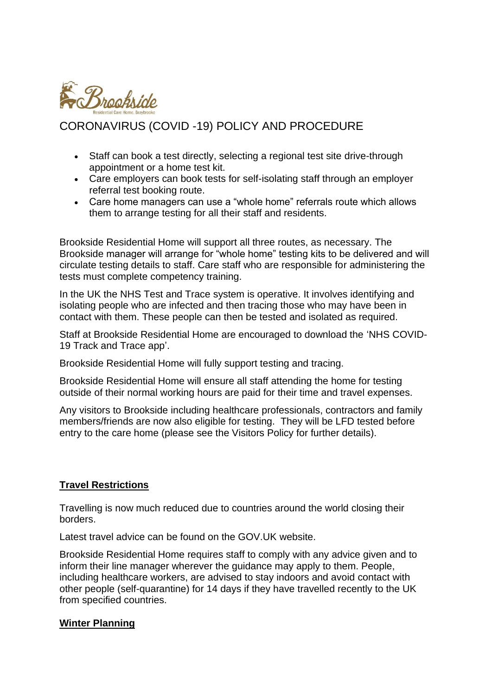

- Staff can book a test directly, selecting a regional test site drive-through appointment or a home test kit.
- Care employers can book tests for self-isolating staff through an employer referral test booking route.
- Care home managers can use a "whole home" referrals route which allows them to arrange testing for all their staff and residents.

Brookside Residential Home will support all three routes, as necessary. The Brookside manager will arrange for "whole home" testing kits to be delivered and will circulate testing details to staff. Care staff who are responsible for administering the tests must complete competency training.

In the UK the NHS Test and Trace system is operative. It involves identifying and isolating people who are infected and then tracing those who may have been in contact with them. These people can then be tested and isolated as required.

Staff at Brookside Residential Home are encouraged to download the 'NHS COVID-19 Track and Trace app'.

Brookside Residential Home will fully support testing and tracing.

Brookside Residential Home will ensure all staff attending the home for testing outside of their normal working hours are paid for their time and travel expenses.

Any visitors to Brookside including healthcare professionals, contractors and family members/friends are now also eligible for testing. They will be LFD tested before entry to the care home (please see the Visitors Policy for further details).

## **Travel Restrictions**

Travelling is now much reduced due to countries around the world closing their borders.

Latest travel advice can be found on the GOV.UK website.

Brookside Residential Home requires staff to comply with any advice given and to inform their line manager wherever the guidance may apply to them. People, including healthcare workers, are advised to stay indoors and avoid contact with other people (self-quarantine) for 14 days if they have travelled recently to the UK from specified countries.

#### **Winter Planning**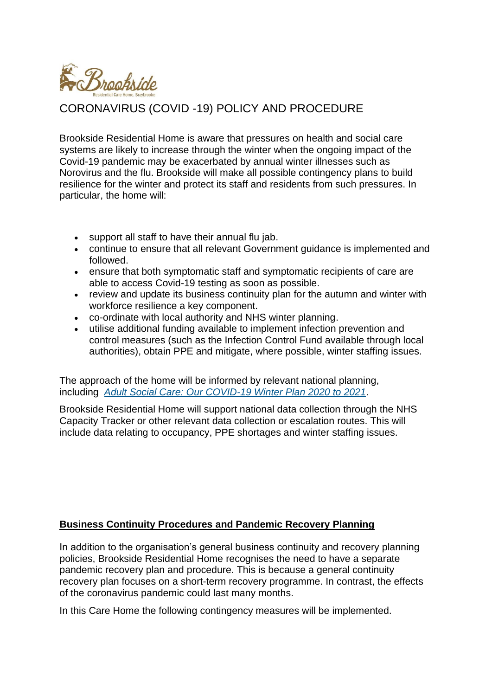

Brookside Residential Home is aware that pressures on health and social care systems are likely to increase through the winter when the ongoing impact of the Covid-19 pandemic may be exacerbated by annual winter illnesses such as Norovirus and the flu. Brookside will make all possible contingency plans to build resilience for the winter and protect its staff and residents from such pressures. In particular, the home will:

- support all staff to have their annual flu jab.
- continue to ensure that all relevant Government guidance is implemented and followed.
- ensure that both symptomatic staff and symptomatic recipients of care are able to access Covid-19 testing as soon as possible.
- review and update its business continuity plan for the autumn and winter with workforce resilience a key component.
- co-ordinate with local authority and NHS winter planning.
- utilise additional funding available to implement infection prevention and control measures (such as the Infection Control Fund available through local authorities), obtain PPE and mitigate, where possible, winter staffing issues.

The approach of the home will be informed by relevant national planning, including *[Adult Social Care: Our COVID-19 Winter Plan 2020 to 2021](https://www.gov.uk/government/publications/adult-social-care-coronavirus-covid-19-winter-plan-2020-to-2021/adult-social-care-our-covid-19-winter-plan-2020-to-2021)*.

Brookside Residential Home will support national data collection through the NHS Capacity Tracker or other relevant data collection or escalation routes. This will include data relating to occupancy, PPE shortages and winter staffing issues.

## **Business Continuity Procedures and Pandemic Recovery Planning**

In addition to the organisation's general business continuity and recovery planning policies, Brookside Residential Home recognises the need to have a separate pandemic recovery plan and procedure. This is because a general continuity recovery plan focuses on a short-term recovery programme. In contrast, the effects of the coronavirus pandemic could last many months.

In this Care Home the following contingency measures will be implemented.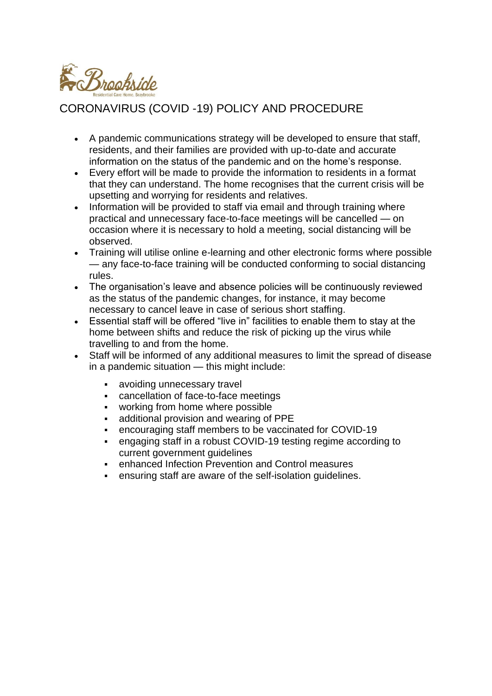

- A pandemic communications strategy will be developed to ensure that staff, residents, and their families are provided with up-to-date and accurate information on the status of the pandemic and on the home's response.
- Every effort will be made to provide the information to residents in a format that they can understand. The home recognises that the current crisis will be upsetting and worrying for residents and relatives.
- Information will be provided to staff via email and through training where practical and unnecessary face-to-face meetings will be cancelled — on occasion where it is necessary to hold a meeting, social distancing will be observed.
- Training will utilise online e-learning and other electronic forms where possible — any face-to-face training will be conducted conforming to social distancing rules.
- The organisation's leave and absence policies will be continuously reviewed as the status of the pandemic changes, for instance, it may become necessary to cancel leave in case of serious short staffing.
- Essential staff will be offered "live in" facilities to enable them to stay at the home between shifts and reduce the risk of picking up the virus while travelling to and from the home.
- Staff will be informed of any additional measures to limit the spread of disease in a pandemic situation — this might include:
	- avoiding unnecessary travel
	- cancellation of face-to-face meetings
	- working from home where possible
	- additional provision and wearing of PPE
	- encouraging staff members to be vaccinated for COVID-19
	- engaging staff in a robust COVID-19 testing regime according to current government guidelines
	- enhanced Infection Prevention and Control measures
	- ensuring staff are aware of the self-isolation guidelines.